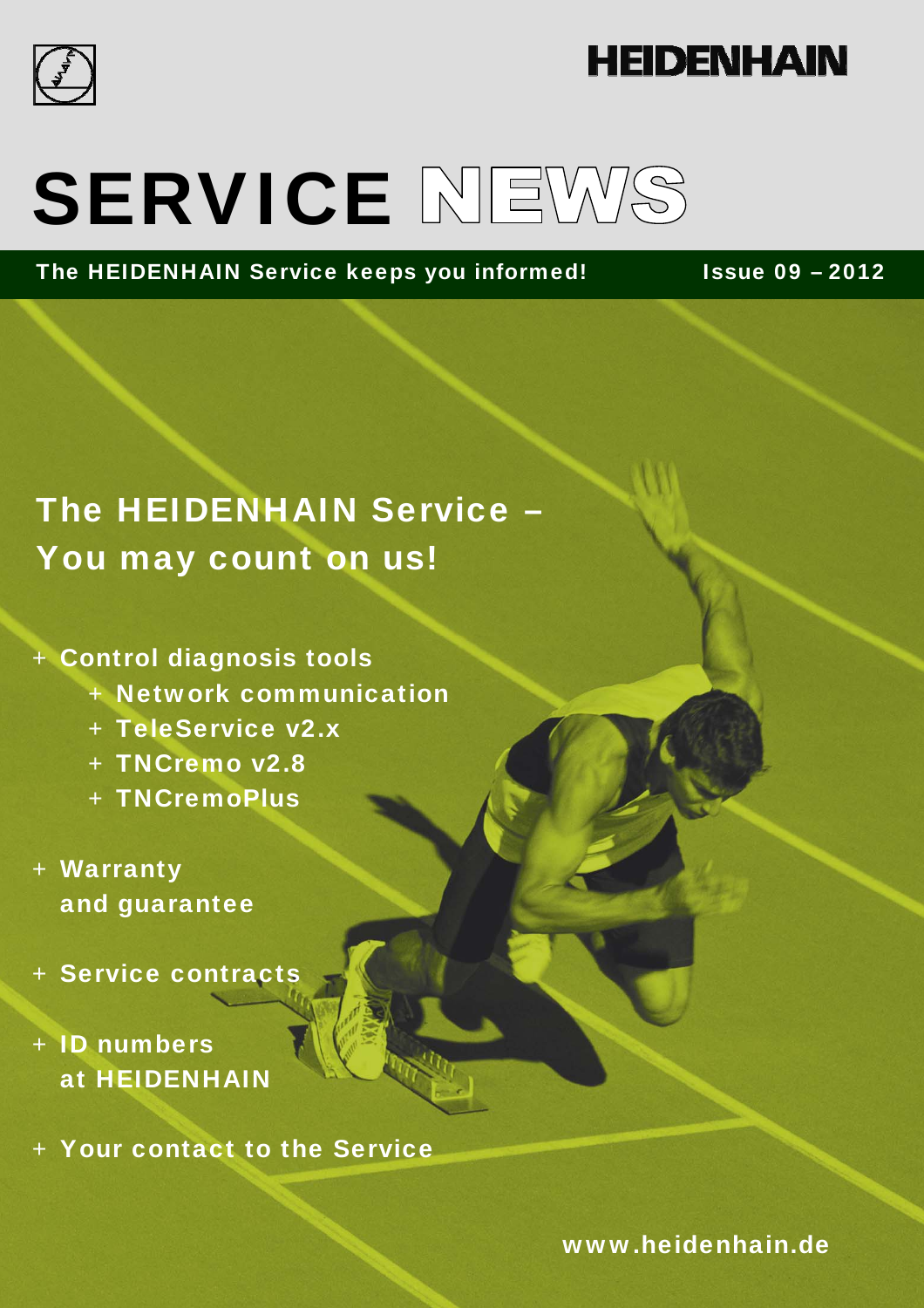

### **HEIDENHAIN**

# SERVICE NEWS

The HEIDENHAIN Service keeps you informed! Issue 09 – 2012

### The HEIDENHAIN Service – You may count on us!

#### + Control diagnosis tools

- + Network communication
- + TeleService v2.x
- + TNCremo v2.8
- + TNCremoPlus
- + Warranty and guarantee
- + Service contracts

### + ID numbers at HEIDENHAIN

+ Your contact to the Service

www.heidenhain.de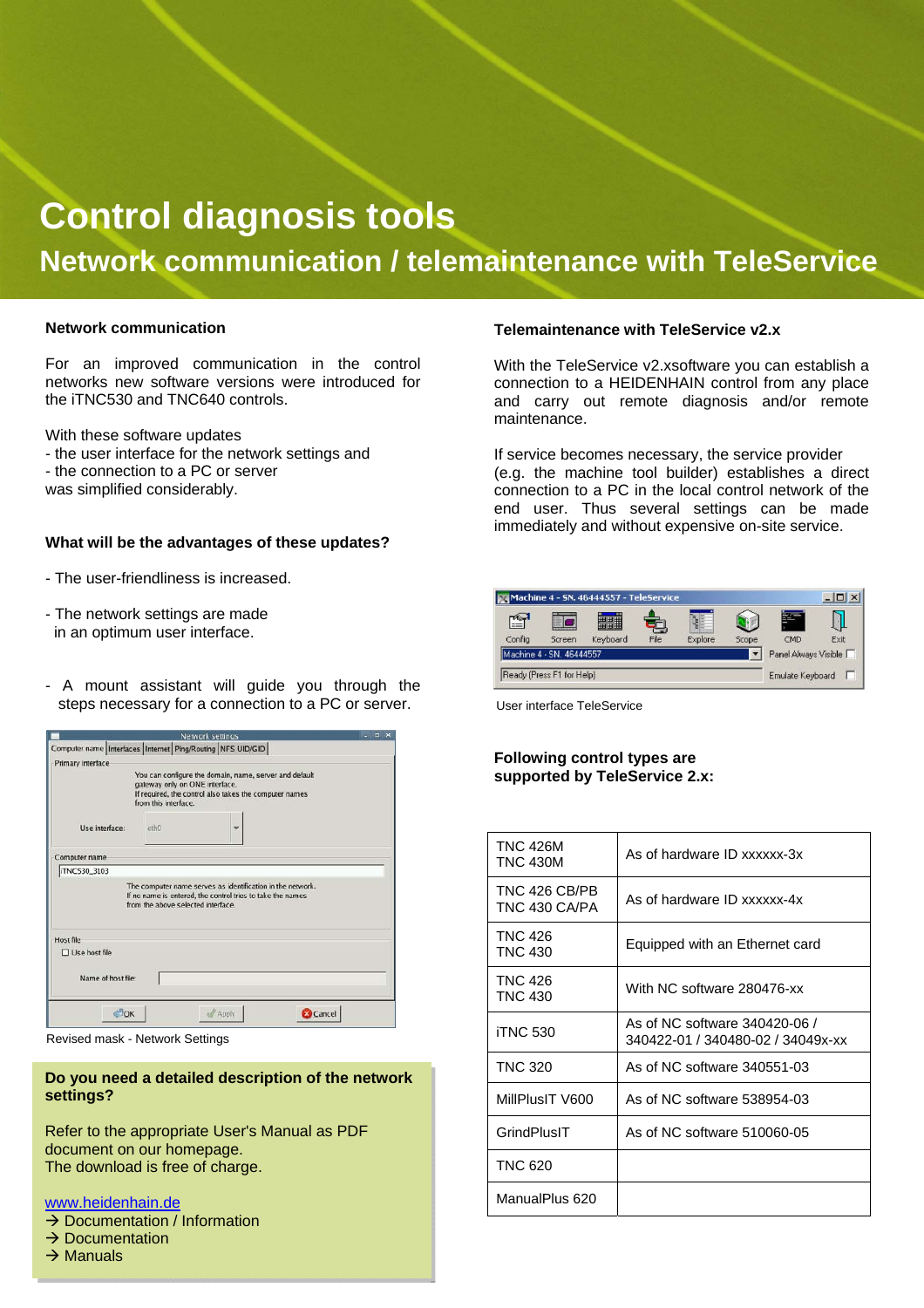### **Control diagnosis tools Network communication / telemaintenance with TeleService**

#### **Network communication**

For an improved communication in the control networks new software versions were introduced for the iTNC530 and TNC640 controls.

With these software updates

- the user interface for the network settings and
- the connection to a PC or server
- was simplified considerably.

#### **What will be the advantages of these updates?**

- The user-friendliness is increased.
- The network settings are made in an optimum user interface.
- A mount assistant will guide you through the steps necessary for a connection to a PC or server.

|                                                                    |                                                        | Network settings                                                                                                         |                 | $  \times$ |
|--------------------------------------------------------------------|--------------------------------------------------------|--------------------------------------------------------------------------------------------------------------------------|-----------------|------------|
| Computer name   Interfaces   Internet   Ping/Routing   NFS UID/GID |                                                        |                                                                                                                          |                 |            |
| Primary interface                                                  |                                                        |                                                                                                                          |                 |            |
|                                                                    | gateway only on ONE interface.<br>from this interface. | You can configure the domain, name, server and default<br>If required, the control also takes the computer names         |                 |            |
| Use interface:                                                     | eth0                                                   |                                                                                                                          |                 |            |
| Computer name                                                      |                                                        |                                                                                                                          |                 |            |
| iTNC530_3103                                                       |                                                        |                                                                                                                          |                 |            |
|                                                                    | from the above selected interface.                     | The computer name serves as identification in the network.<br>If no name is entered, the control tries to take the names |                 |            |
| <b>Host file</b>                                                   |                                                        |                                                                                                                          |                 |            |
| $\Box$ Use host file                                               |                                                        |                                                                                                                          |                 |            |
| Name of host file:                                                 |                                                        |                                                                                                                          |                 |            |
| OK                                                                 |                                                        | <b>Apply</b>                                                                                                             | <b>E</b> Cancel |            |

Revised mask - Network Settings

#### **Do you need a detailed description of the network settings?**

Refer to the appropriate User's Manual as PDF document on our homepage. The download is free of charge.

#### www.heidenhain.de

- $\rightarrow$  Documentation / Information
- $\rightarrow$  Documentation
- $\rightarrow$  Manuals

#### **Telemaintenance with TeleService v2.x**

With the TeleService v2.xsoftware you can establish a connection to a HEIDENHAIN control from any place and carry out remote diagnosis and/or remote maintenance.

If service becomes necessary, the service provider (e.g. the machine tool builder) establishes a direct connection to a PC in the local control network of the end user. Thus several settings can be made immediately and without expensive on-site service.



User interface TeleService

#### **Following control types are supported by TeleService 2.x:**

| <b>TNC 426M</b><br><b>TNC 430M</b> | As of hardware ID xxxxxx-3x                                        |
|------------------------------------|--------------------------------------------------------------------|
| TNC 426 CB/PB<br>TNC 430 CA/PA     | As of hardware ID xxxxxx-4x                                        |
| <b>TNC 426</b><br><b>TNC 430</b>   | Equipped with an Ethernet card                                     |
| <b>TNC 426</b><br><b>TNC 430</b>   | With NC software 280476-xx                                         |
| <b>iTNC 530</b>                    | As of NC software 340420-06 /<br>340422-01 / 340480-02 / 34049x-xx |
| <b>TNC 320</b>                     | As of NC software 340551-03                                        |
| MillPlusIT V600                    | As of NC software 538954-03                                        |
| GrindPlusIT                        | As of NC software 510060-05                                        |
| <b>TNC 620</b>                     |                                                                    |
| ManualPlus 620                     |                                                                    |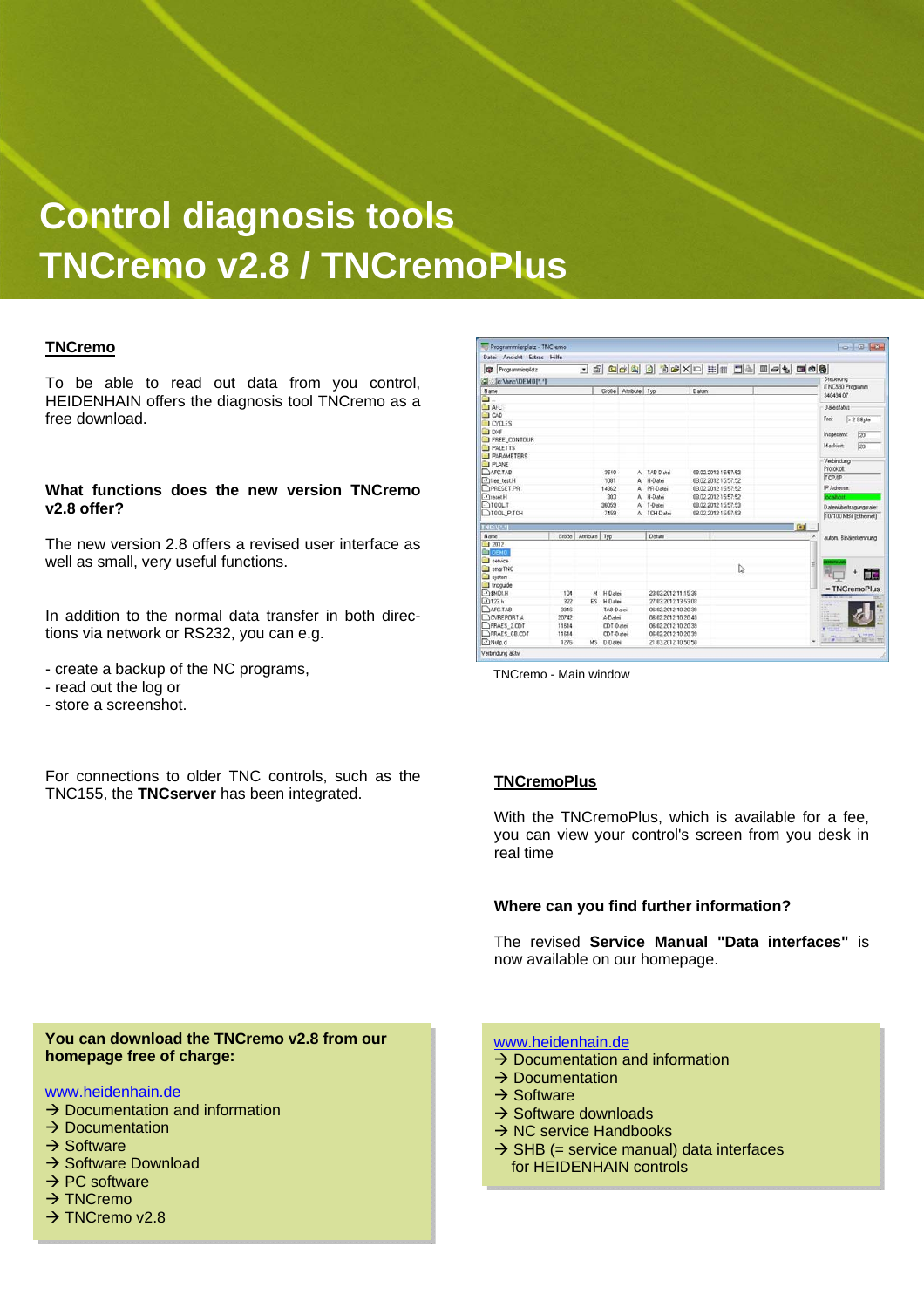### **Control diagnosis tools TNCremo v2.8 / TNCremoPlus**

#### **TNCremo**

To be able to read out data from you control, HEIDENHAIN offers the diagnosis tool TNCremo as a free download.

#### **What functions does the new version TNCremo v2.8 offer?**

The new version 2.8 offers a revised user interface as well as small, very useful functions.

In addition to the normal data transfer in both directions via network or RS232, you can e.g.

- create a backup of the NC programs,
- read out the log or
- store a screenshot.

For connections to older TNC controls, such as the TNC155, the **TNCserver** has been integrated.

| <b>Ed</b> Programmierplatz |       |                     |                     |                     |       | - 2 8 8 4 9 2 3 4 4 X 8 3 8 4 5 6 8 |          |                               |  |
|----------------------------|-------|---------------------|---------------------|---------------------|-------|-------------------------------------|----------|-------------------------------|--|
| Colle: \hnc\DEMO[*.*]      |       |                     |                     |                     |       |                                     |          | Steuerung                     |  |
| Name                       |       |                     | Große Attribute Typ |                     | Datum |                                     |          | iTNC530 Programm<br>340494 07 |  |
| ≅.                         |       |                     |                     |                     |       |                                     |          |                               |  |
| <b>I</b> AFC               |       |                     |                     |                     |       |                                     |          | Dataistatus                   |  |
| $\Box$ CAD                 |       |                     |                     |                     |       |                                     |          | Frei:<br>$>2$ GByte           |  |
| <b>CYCLES</b>              |       |                     |                     |                     |       |                                     |          |                               |  |
| <b>JDXF</b>                |       |                     |                     |                     |       |                                     |          | Insgesant.<br>20              |  |
| FREE CONTOUR               |       |                     |                     |                     |       |                                     |          |                               |  |
| <b>PALETTS</b>             |       |                     |                     |                     |       |                                     |          | Markiest<br>50                |  |
| <b>PARAMETERS</b>          |       |                     |                     |                     |       |                                     |          | Verbindung                    |  |
| <b>FLANE</b>               |       |                     |                     |                     |       |                                     |          | Protokolt                     |  |
| <b>DAFCTAB</b>             |       |                     | 3540                | A TAB-Datei         |       | 08.02.2012 15:57:52                 |          | <b>ТСР/IP</b>                 |  |
| Thee test H                |       |                     | 1091                | A H-Datei           |       | 08.02.2012 15:57:52                 |          |                               |  |
| <b>OPRESET.PR</b>          |       |                     | 14962               | A PR-Datei          |       | 08:02:2012 15:57:52                 |          | IP Adresse                    |  |
| HitecatH                   |       |                     | 302                 | A H-Datei           |       | 08:02:2012 15:57:52                 |          | <b>Realtout</b>               |  |
| $T100L$ T                  |       |                     | 36059               | A T-Dates           |       | 08.02.2012 15:57:53                 |          | Dateriübertragungsrate:       |  |
| TIOOL P.TCH                |       |                     | 7459                | A TCH-Dates         |       | 08.02.2012 15:57:53                 |          | 10/100 MBit (Ethernet)        |  |
| <b>TNEMANT</b>             |       |                     |                     |                     |       |                                     | <b>D</b> |                               |  |
| Name                       |       | Große Attribute Typ |                     | Datum               |       |                                     |          | autom. Binärerkennung         |  |
| 12012                      |       |                     |                     |                     |       |                                     |          |                               |  |
| <b>DEMO</b>                |       |                     |                     |                     |       |                                     |          |                               |  |
| I tervice                  |       |                     |                     |                     |       |                                     | Ħ        |                               |  |
| 3 smarTNC                  |       |                     |                     |                     |       | I.                                  |          | 誠                             |  |
| system                     |       |                     |                     |                     |       |                                     |          |                               |  |
| I tnoguide                 |       |                     |                     |                     |       |                                     |          | $= TNC$ remo $Plus$           |  |
| $-93MDH$                   | 104   |                     | M H-Datei           | 23.03.2012 11:15:36 |       |                                     |          |                               |  |
| $-10123h$                  | 322   |                     | ES H-Dates          | 27.03.2012 13:53:03 |       |                                     |          |                               |  |
| <b>DAFCTAB</b>             | 3316  |                     | TAB-Datei           | 06.02.2012 10:20:39 |       |                                     |          | <b>Birms</b>                  |  |
| <b>OVREPORTA</b>           | 20742 |                     | A-Datei             | 06.02.2012 10:20:40 |       |                                     |          | $1.5 - 1.4$                   |  |
| <b>TFRAES 2CDT</b>         | 11614 |                     | CDT-Datei           | 06.02.2012 10:20:39 |       |                                     |          | 38<br><b>A PERSONAL</b>       |  |
| <b>DFRAES GB.CDT</b>       | 11614 |                     | CDT-Datei           | 06.02.2012 10:20:39 |       |                                     |          | os le Sa<br>in a st           |  |
| <b>DINulo d</b>            | 1276  |                     | MS D-Datei          | 21.03.2012 10:50:50 |       |                                     |          |                               |  |

TNCremo - Main window

#### **TNCremoPlus**

With the TNCremoPlus, which is available for a fee, you can view your control's screen from you desk in real time

#### **Where can you find further information?**

The revised **Service Manual "Data interfaces"** is now available on our homepage.

#### **You can download the TNCremo v2.8 from our homepage free of charge:**

#### www.heidenhain.de

- $\rightarrow$  Documentation and information
- $\rightarrow$  Documentation
- $\rightarrow$  Software
- $\rightarrow$  Software Download
- $\rightarrow$  PC software
- $\rightarrow$  TNCremo
- $\rightarrow$  TNCremo v2.8

www.heidenhain.de

- $\rightarrow$  Documentation and information
- $\rightarrow$  Documentation
- $\rightarrow$  Software
- $\rightarrow$  Software downloads
- $\rightarrow$  NC service Handbooks
- $\rightarrow$  SHB (= service manual) data interfaces for HEIDENHAIN controls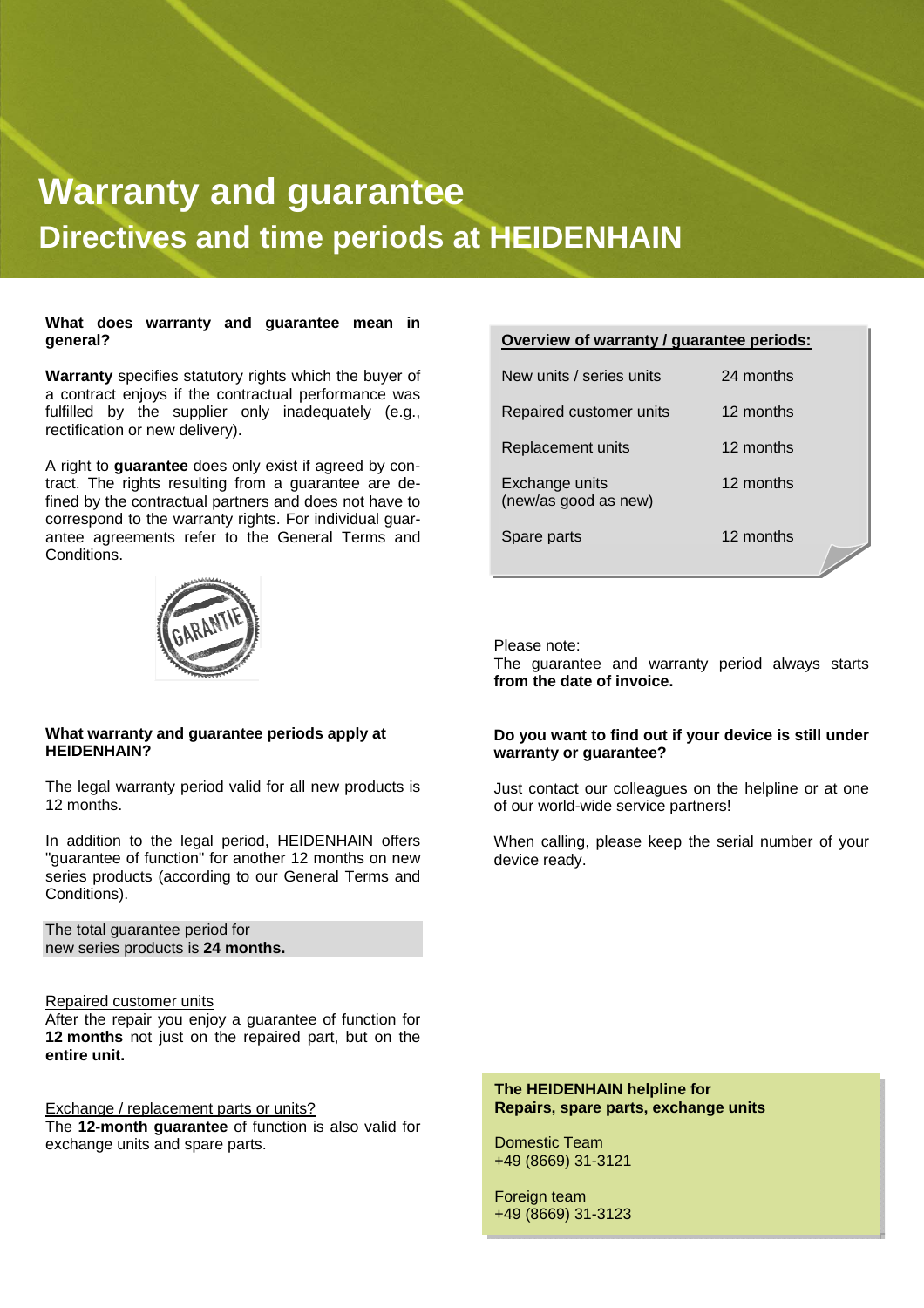### **Warranty and guarantee Directives and time periods at HEIDENHAIN**

#### **What does warranty and guarantee mean in general?**

**Warranty** specifies statutory rights which the buyer of a contract enjoys if the contractual performance was fulfilled by the supplier only inadequately (e.g., rectification or new delivery).

A right to **guarantee** does only exist if agreed by contract. The rights resulting from a guarantee are defined by the contractual partners and does not have to correspond to the warranty rights. For individual guarantee agreements refer to the General Terms and Conditions.



#### **What warranty and guarantee periods apply at HEIDENHAIN?**

The legal warranty period valid for all new products is 12 months.

In addition to the legal period, HEIDENHAIN offers "guarantee of function" for another 12 months on new series products (according to our General Terms and Conditions).

The total guarantee period for new series products is **24 months.** 

#### Repaired customer units

After the repair you enjoy a guarantee of function for **12 months** not just on the repaired part, but on the **entire unit.** 

Exchange / replacement parts or units? The **12-month guarantee** of function is also valid for exchange units and spare parts.

| Overview of warranty / guarantee periods: |           |  |  |
|-------------------------------------------|-----------|--|--|
| New units / series units                  | 24 months |  |  |
| Repaired customer units                   | 12 months |  |  |
| <b>Replacement units</b>                  | 12 months |  |  |
| Exchange units<br>(new/as good as new)    | 12 months |  |  |
| Spare parts                               | 12 months |  |  |

Please note:

The guarantee and warranty period always starts **from the date of invoice.** 

#### **Do you want to find out if your device is still under warranty or guarantee?**

Just contact our colleagues on the helpline or at one of our world-wide service partners!

When calling, please keep the serial number of your device ready.

**The HEIDENHAIN helpline for Repairs, spare parts, exchange units** 

Domestic Team +49 (8669) 31-3121

Foreign team +49 (8669) 31-3123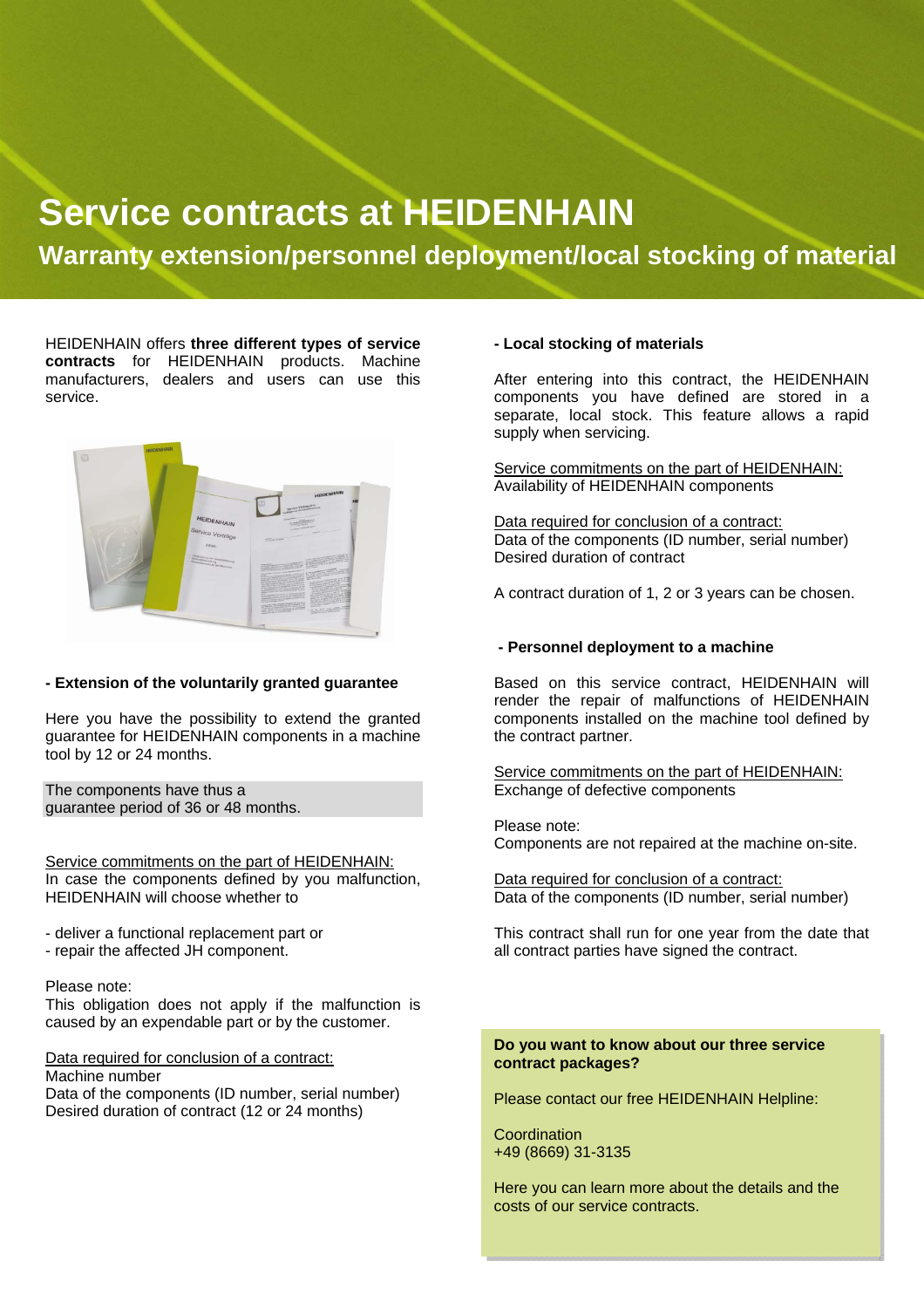### **Service contracts at HEIDENHAIN**

 **Warranty extension/personnel deployment/local stocking of material** 

HEIDENHAIN offers **three different types of service contracts** for HEIDENHAIN products. Machine manufacturers, dealers and users can use this service.



#### **- Extension of the voluntarily granted guarantee**

Here you have the possibility to extend the granted guarantee for HEIDENHAIN components in a machine tool by 12 or 24 months.

The components have thus a guarantee period of 36 or 48 months.

Service commitments on the part of HEIDENHAIN: In case the components defined by you malfunction, HEIDENHAIN will choose whether to

- deliver a functional replacement part or

- repair the affected JH component.

Please note:

This obligation does not apply if the malfunction is caused by an expendable part or by the customer.

Data required for conclusion of a contract: Machine number Data of the components (ID number, serial number) Desired duration of contract (12 or 24 months)

#### **- Local stocking of materials**

After entering into this contract, the HEIDENHAIN components you have defined are stored in a separate, local stock. This feature allows a rapid supply when servicing.

Service commitments on the part of HEIDENHAIN: Availability of HEIDENHAIN components

Data required for conclusion of a contract: Data of the components (ID number, serial number) Desired duration of contract

A contract duration of 1, 2 or 3 years can be chosen.

#### **- Personnel deployment to a machine**

Based on this service contract, HEIDENHAIN will render the repair of malfunctions of HEIDENHAIN components installed on the machine tool defined by the contract partner.

Service commitments on the part of HEIDENHAIN: Exchange of defective components

Please note: Components are not repaired at the machine on-site.

Data required for conclusion of a contract: Data of the components (ID number, serial number)

This contract shall run for one year from the date that all contract parties have signed the contract.

#### **Do you want to know about our three service contract packages?**

Please contact our free HEIDENHAIN Helpline:

Coordination +49 (8669) 31-3135

Here you can learn more about the details and the costs of our service contracts.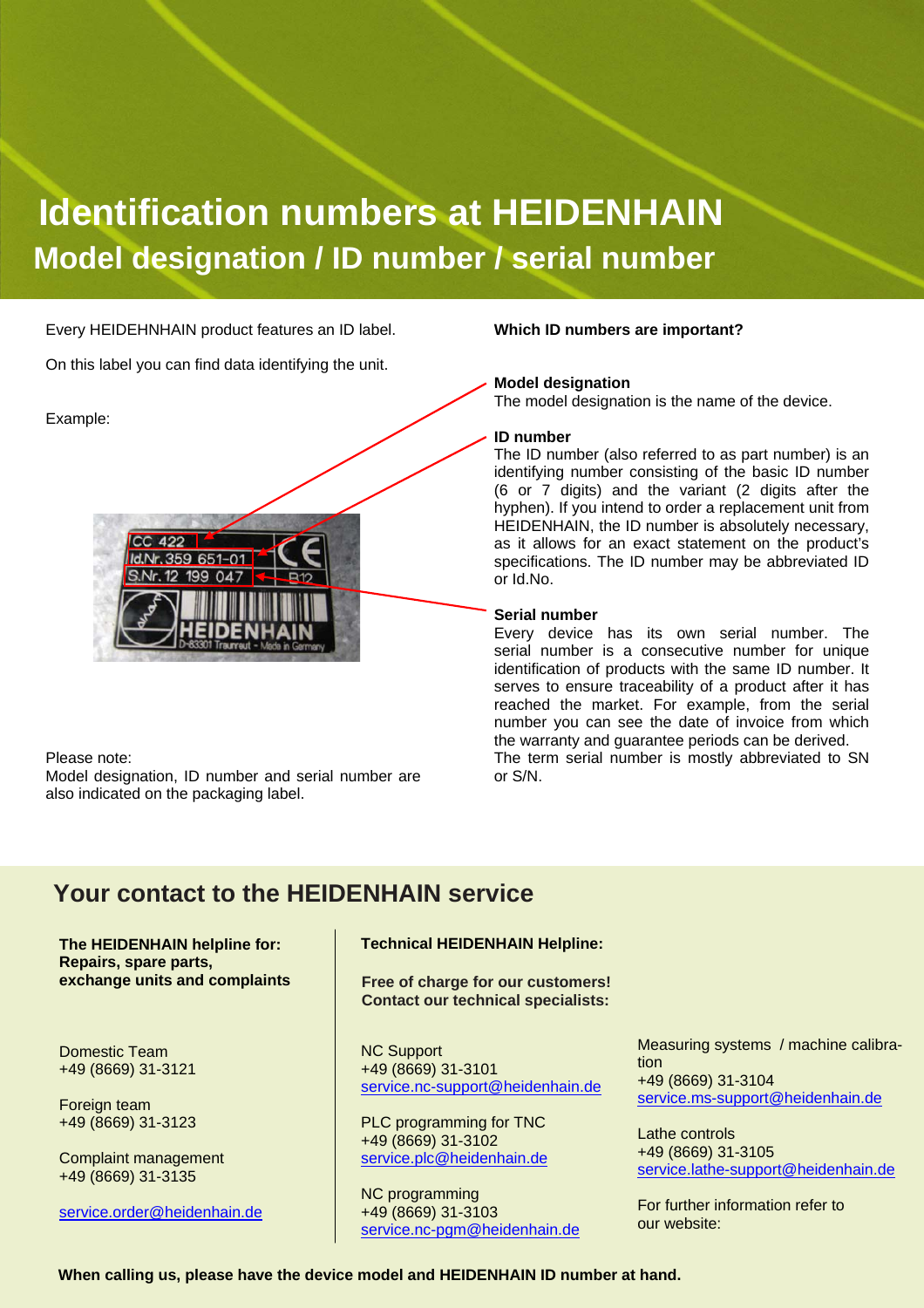### **Identification numbers at HEIDENHAIN Model designation / ID number / serial number**

Every HEIDEHNHAIN product features an ID label.

On this label you can find data identifying the unit.

#### Example:



Please note:

Model designation, ID number and serial number are also indicated on the packaging label.

#### **Which ID numbers are important?**

#### **Model designation**

The model designation is the name of the device.

#### **ID number**

The ID number (also referred to as part number) is an identifying number consisting of the basic ID number (6 or 7 digits) and the variant (2 digits after the hyphen). If you intend to order a replacement unit from HEIDENHAIN, the ID number is absolutely necessary, as it allows for an exact statement on the product's specifications. The ID number may be abbreviated ID or Id.No.

#### **Serial number**

Every device has its own serial number. The serial number is a consecutive number for unique identification of products with the same ID number. It serves to ensure traceability of a product after it has reached the market. For example, from the serial number you can see the date of invoice from which the warranty and guarantee periods can be derived. The term serial number is mostly abbreviated to SN or S/N.

#### **Your contact to the HEIDENHAIN service**

**The HEIDENHAIN helpline for: Repairs, spare parts, exchange units and complaints** 

Domestic Team +49 (8669) 31-3121

Foreign team +49 (8669) 31-3123

Complaint management +49 (8669) 31-3135

service.order@heidenhain.de

**Technical HEIDENHAIN Helpline:** 

**Free of charge for our customers! Contact our technical specialists:**

NC Support +49 (8669) 31-3101 service.nc-support@heidenhain.de

PLC programming for TNC +49 (8669) 31-3102 service.plc@heidenhain.de

NC programming +49 (8669) 31-3103 service.nc-pgm@heidenhain.de Measuring systems / machine calibration +49 (8669) 31-3104 service.ms-support@heidenhain.de

Lathe controls +49 (8669) 31-3105 service.lathe-support@heidenhain.de

For further information refer to our website:

**When calling us, please have the device model and HEIDENHAIN ID number at hand.**